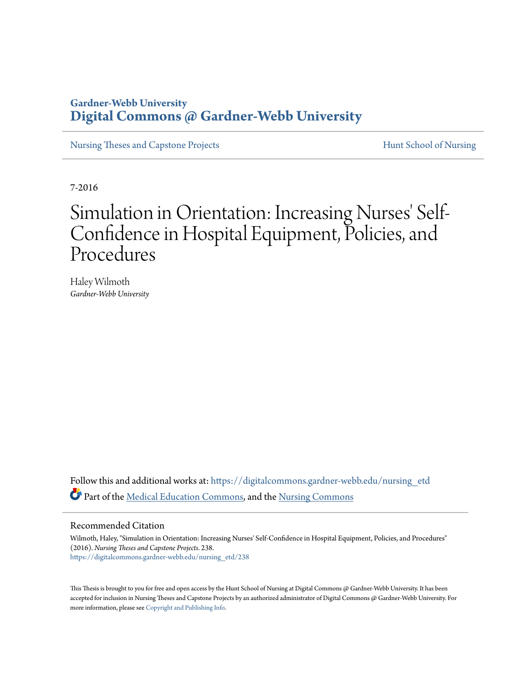# **Gardner-Webb University [Digital Commons @ Gardner-Webb University](https://digitalcommons.gardner-webb.edu?utm_source=digitalcommons.gardner-webb.edu%2Fnursing_etd%2F238&utm_medium=PDF&utm_campaign=PDFCoverPages)**

[Nursing Theses and Capstone Projects](https://digitalcommons.gardner-webb.edu/nursing_etd?utm_source=digitalcommons.gardner-webb.edu%2Fnursing_etd%2F238&utm_medium=PDF&utm_campaign=PDFCoverPages) **[Hunt School of Nursing](https://digitalcommons.gardner-webb.edu/nursing?utm_source=digitalcommons.gardner-webb.edu%2Fnursing_etd%2F238&utm_medium=PDF&utm_campaign=PDFCoverPages)** 

7-2016

# Simulation in Orientation: Increasing Nurses' Self-Confidence in Hospital Equipment, Policies, and Procedures

Haley Wilmoth *Gardner-Webb University*

Follow this and additional works at: [https://digitalcommons.gardner-webb.edu/nursing\\_etd](https://digitalcommons.gardner-webb.edu/nursing_etd?utm_source=digitalcommons.gardner-webb.edu%2Fnursing_etd%2F238&utm_medium=PDF&utm_campaign=PDFCoverPages) Part of the [Medical Education Commons,](http://network.bepress.com/hgg/discipline/1125?utm_source=digitalcommons.gardner-webb.edu%2Fnursing_etd%2F238&utm_medium=PDF&utm_campaign=PDFCoverPages) and the [Nursing Commons](http://network.bepress.com/hgg/discipline/718?utm_source=digitalcommons.gardner-webb.edu%2Fnursing_etd%2F238&utm_medium=PDF&utm_campaign=PDFCoverPages)

#### Recommended Citation

Wilmoth, Haley, "Simulation in Orientation: Increasing Nurses' Self-Confidence in Hospital Equipment, Policies, and Procedures" (2016). *Nursing Theses and Capstone Projects*. 238. [https://digitalcommons.gardner-webb.edu/nursing\\_etd/238](https://digitalcommons.gardner-webb.edu/nursing_etd/238?utm_source=digitalcommons.gardner-webb.edu%2Fnursing_etd%2F238&utm_medium=PDF&utm_campaign=PDFCoverPages)

This Thesis is brought to you for free and open access by the Hunt School of Nursing at Digital Commons @ Gardner-Webb University. It has been accepted for inclusion in Nursing Theses and Capstone Projects by an authorized administrator of Digital Commons @ Gardner-Webb University. For more information, please see [Copyright and Publishing Info](https://digitalcommons.gardner-webb.edu/copyright_publishing.html).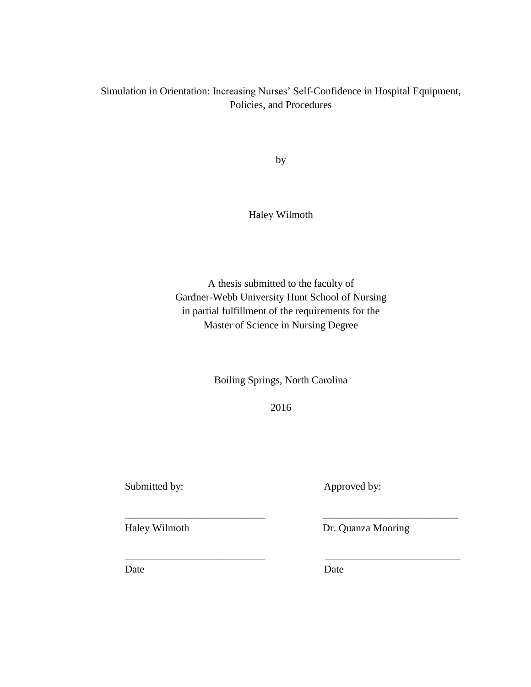## Simulation in Orientation: Increasing Nurses' Self-Confidence in Hospital Equipment, Policies, and Procedures

by

Haley Wilmoth

A thesis submitted to the faculty of Gardner-Webb University Hunt School of Nursing in partial fulfillment of the requirements for the Master of Science in Nursing Degree

Boiling Springs, North Carolina

2016

\_\_\_\_\_\_\_\_\_\_\_\_\_\_\_\_\_\_\_\_\_\_\_\_\_\_\_ \_\_\_\_\_\_\_\_\_\_\_\_\_\_\_\_\_\_\_\_\_\_\_\_\_\_

\_\_\_\_\_\_\_\_\_\_\_\_\_\_\_\_\_\_\_\_\_\_\_\_\_\_\_ \_\_\_\_\_\_\_\_\_\_\_\_\_\_\_\_\_\_\_\_\_\_\_\_\_\_

Submitted by: Approved by:

Haley Wilmoth Dr. Quanza Mooring

Date Date Date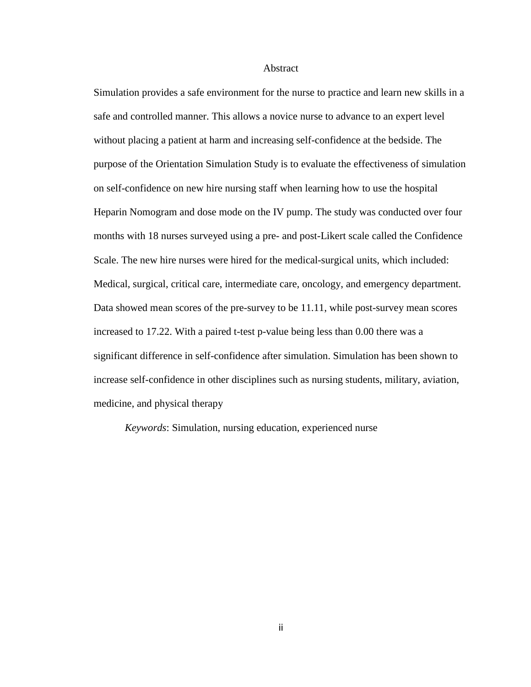#### Abstract

Simulation provides a safe environment for the nurse to practice and learn new skills in a safe and controlled manner. This allows a novice nurse to advance to an expert level without placing a patient at harm and increasing self-confidence at the bedside. The purpose of the Orientation Simulation Study is to evaluate the effectiveness of simulation on self-confidence on new hire nursing staff when learning how to use the hospital Heparin Nomogram and dose mode on the IV pump. The study was conducted over four months with 18 nurses surveyed using a pre- and post-Likert scale called the Confidence Scale. The new hire nurses were hired for the medical-surgical units, which included: Medical, surgical, critical care, intermediate care, oncology, and emergency department. Data showed mean scores of the pre-survey to be 11.11, while post-survey mean scores increased to 17.22. With a paired t-test p-value being less than 0.00 there was a significant difference in self-confidence after simulation. Simulation has been shown to increase self-confidence in other disciplines such as nursing students, military, aviation, medicine, and physical therapy

*Keywords*: Simulation, nursing education, experienced nurse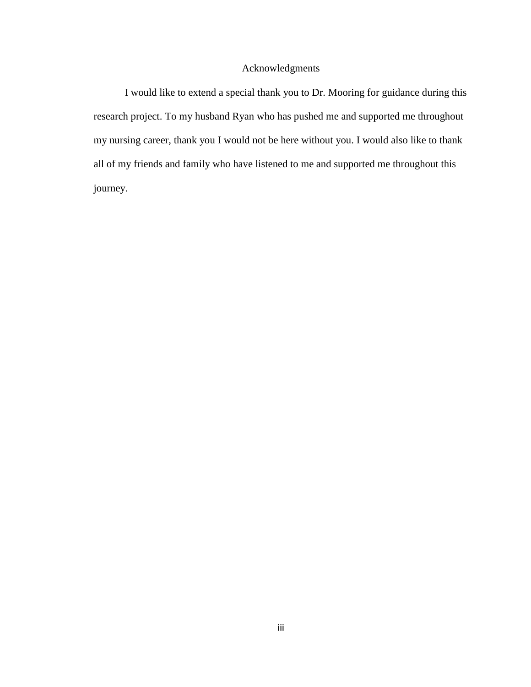### Acknowledgments

I would like to extend a special thank you to Dr. Mooring for guidance during this research project. To my husband Ryan who has pushed me and supported me throughout my nursing career, thank you I would not be here without you. I would also like to thank all of my friends and family who have listened to me and supported me throughout this journey.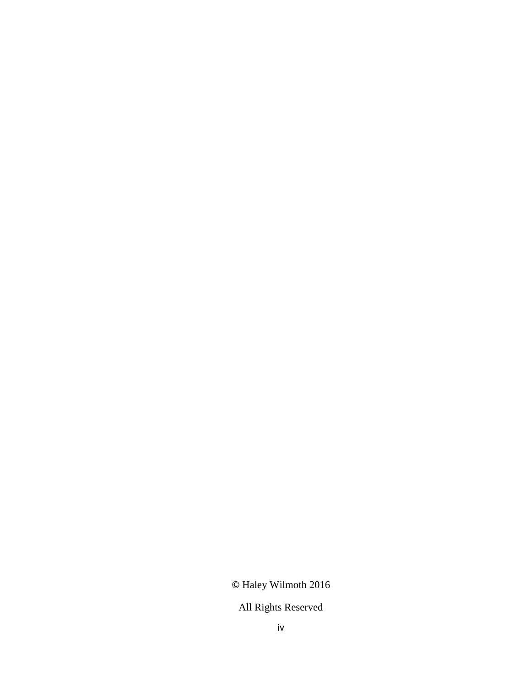# **©** Haley Wilmoth 2016

# All Rights Reserved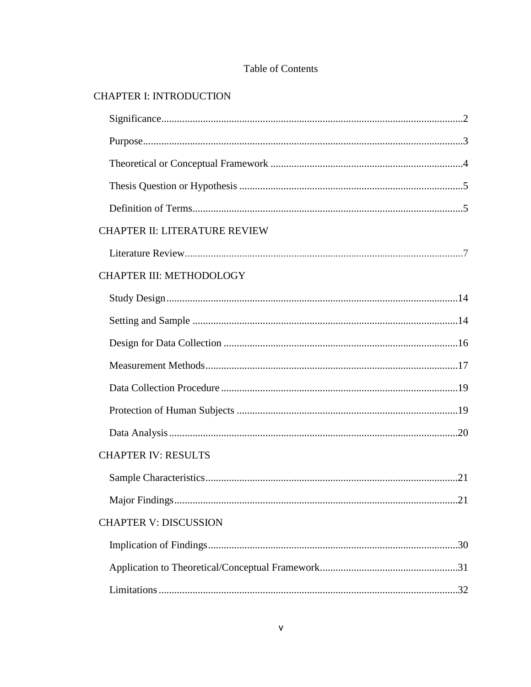# Table of Contents

# **CHAPTER I: INTRODUCTION**

| <b>CHAPTER II: LITERATURE REVIEW</b> |
|--------------------------------------|
|                                      |
| <b>CHAPTER III: METHODOLOGY</b>      |
|                                      |
|                                      |
|                                      |
|                                      |
|                                      |
|                                      |
|                                      |
| <b>CHAPTER IV: RESULTS</b>           |
|                                      |
|                                      |
| <b>CHAPTER V: DISCUSSION</b>         |
|                                      |
|                                      |
|                                      |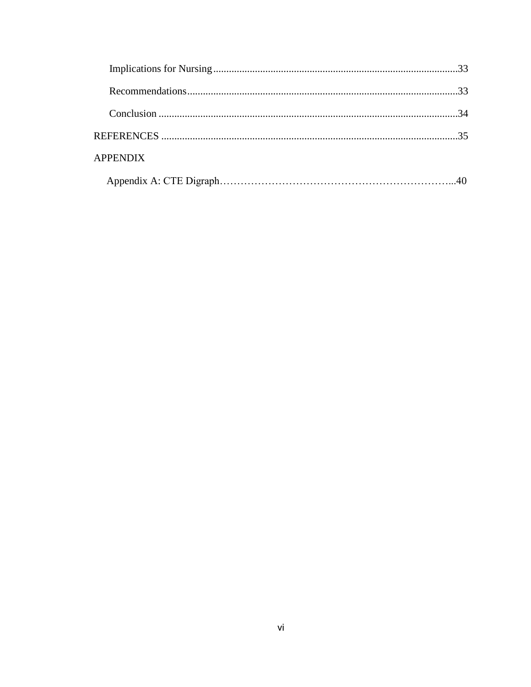| <b>APPENDIX</b> |  |
|-----------------|--|
|                 |  |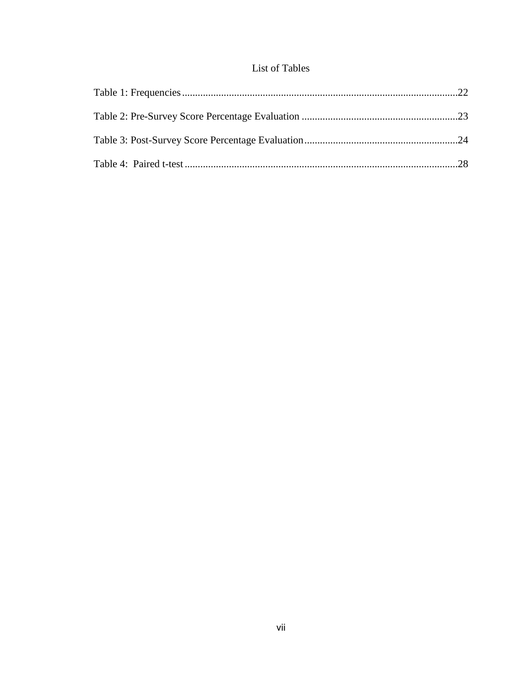## List of Tables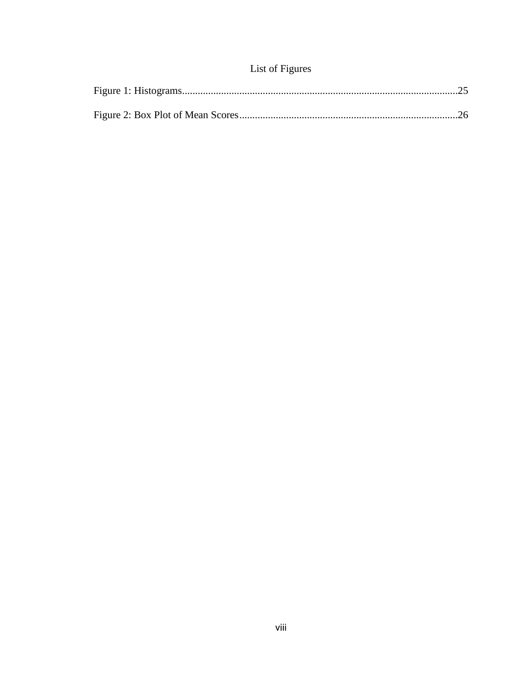# List of Figures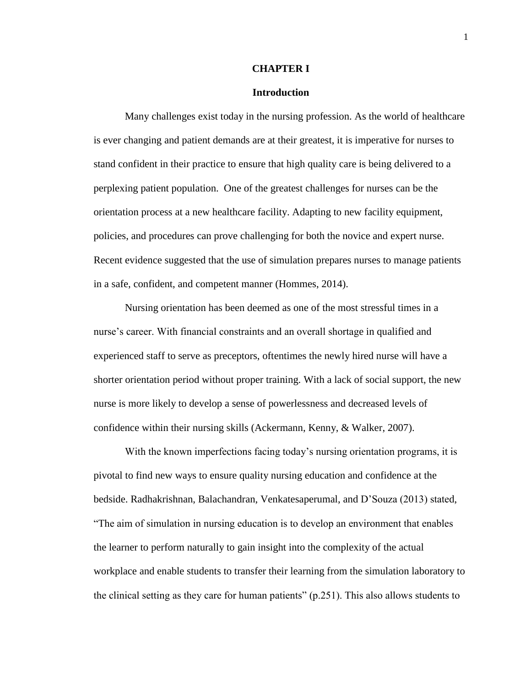#### **CHAPTER I**

#### **Introduction**

Many challenges exist today in the nursing profession. As the world of healthcare is ever changing and patient demands are at their greatest, it is imperative for nurses to stand confident in their practice to ensure that high quality care is being delivered to a perplexing patient population. One of the greatest challenges for nurses can be the orientation process at a new healthcare facility. Adapting to new facility equipment, policies, and procedures can prove challenging for both the novice and expert nurse. Recent evidence suggested that the use of simulation prepares nurses to manage patients in a safe, confident, and competent manner (Hommes, 2014).

Nursing orientation has been deemed as one of the most stressful times in a nurse's career. With financial constraints and an overall shortage in qualified and experienced staff to serve as preceptors, oftentimes the newly hired nurse will have a shorter orientation period without proper training. With a lack of social support, the new nurse is more likely to develop a sense of powerlessness and decreased levels of confidence within their nursing skills (Ackermann, Kenny, & Walker, 2007).

With the known imperfections facing today's nursing orientation programs, it is pivotal to find new ways to ensure quality nursing education and confidence at the bedside. Radhakrishnan, Balachandran, Venkatesaperumal, and D'Souza (2013) stated, "The aim of simulation in nursing education is to develop an environment that enables the learner to perform naturally to gain insight into the complexity of the actual workplace and enable students to transfer their learning from the simulation laboratory to the clinical setting as they care for human patients" (p.251). This also allows students to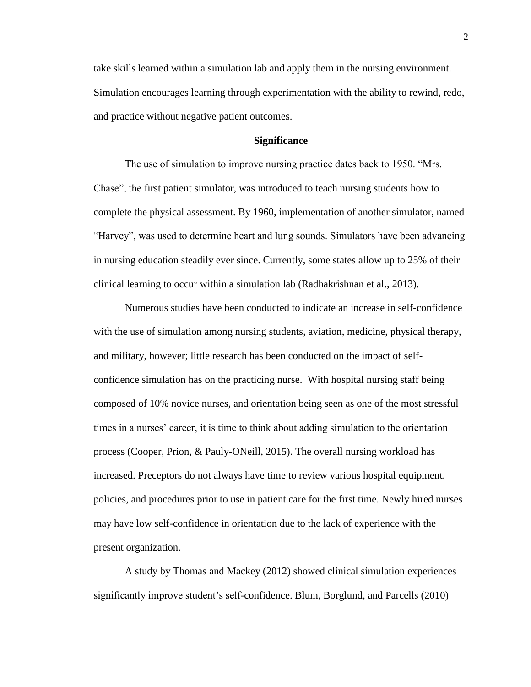take skills learned within a simulation lab and apply them in the nursing environment. Simulation encourages learning through experimentation with the ability to rewind, redo, and practice without negative patient outcomes.

#### **Significance**

The use of simulation to improve nursing practice dates back to 1950. "Mrs. Chase", the first patient simulator, was introduced to teach nursing students how to complete the physical assessment. By 1960, implementation of another simulator, named "Harvey", was used to determine heart and lung sounds. Simulators have been advancing in nursing education steadily ever since. Currently, some states allow up to 25% of their clinical learning to occur within a simulation lab (Radhakrishnan et al., 2013).

Numerous studies have been conducted to indicate an increase in self-confidence with the use of simulation among nursing students, aviation, medicine, physical therapy, and military, however; little research has been conducted on the impact of selfconfidence simulation has on the practicing nurse. With hospital nursing staff being composed of 10% novice nurses, and orientation being seen as one of the most stressful times in a nurses' career, it is time to think about adding simulation to the orientation process (Cooper, Prion, & Pauly-ONeill, 2015). The overall nursing workload has increased. Preceptors do not always have time to review various hospital equipment, policies, and procedures prior to use in patient care for the first time. Newly hired nurses may have low self-confidence in orientation due to the lack of experience with the present organization.

A study by Thomas and Mackey (2012) showed clinical simulation experiences significantly improve student's self-confidence. Blum, Borglund, and Parcells (2010)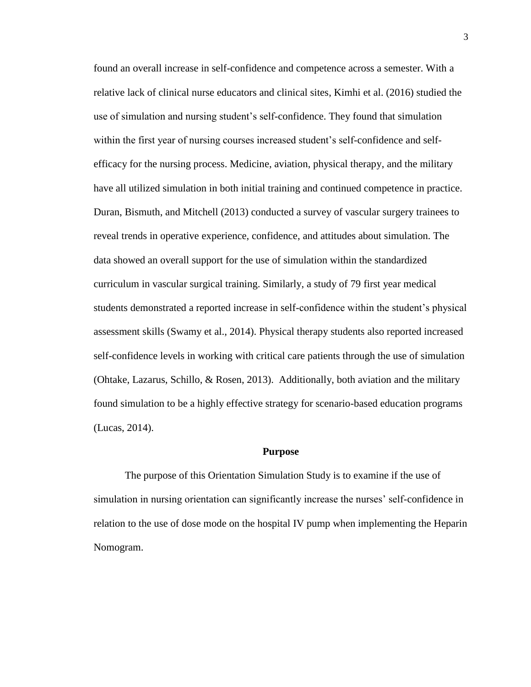found an overall increase in self-confidence and competence across a semester. With a relative lack of clinical nurse educators and clinical sites, Kimhi et al. (2016) studied the use of simulation and nursing student's self-confidence. They found that simulation within the first year of nursing courses increased student's self-confidence and selfefficacy for the nursing process. Medicine, aviation, physical therapy, and the military have all utilized simulation in both initial training and continued competence in practice. Duran, Bismuth, and Mitchell (2013) conducted a survey of vascular surgery trainees to reveal trends in operative experience, confidence, and attitudes about simulation. The data showed an overall support for the use of simulation within the standardized curriculum in vascular surgical training. Similarly, a study of 79 first year medical students demonstrated a reported increase in self-confidence within the student's physical assessment skills (Swamy et al., 2014). Physical therapy students also reported increased self-confidence levels in working with critical care patients through the use of simulation (Ohtake, Lazarus, Schillo, & Rosen, 2013). Additionally, both aviation and the military found simulation to be a highly effective strategy for scenario-based education programs (Lucas, 2014).

#### **Purpose**

The purpose of this Orientation Simulation Study is to examine if the use of simulation in nursing orientation can significantly increase the nurses' self-confidence in relation to the use of dose mode on the hospital IV pump when implementing the Heparin Nomogram.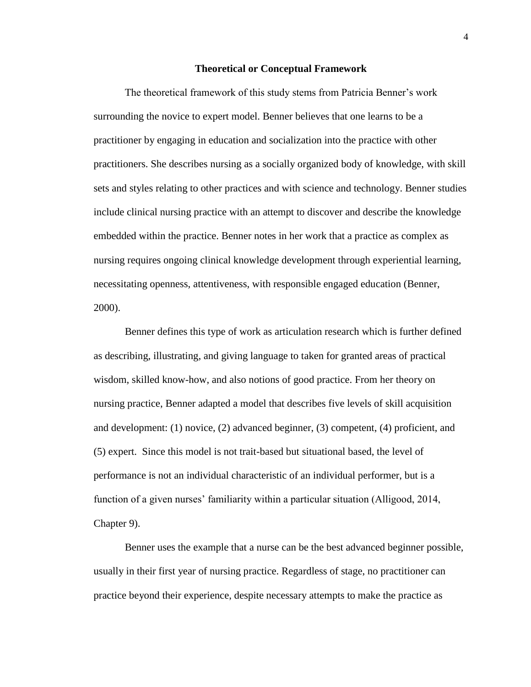#### **Theoretical or Conceptual Framework**

The theoretical framework of this study stems from Patricia Benner's work surrounding the novice to expert model. Benner believes that one learns to be a practitioner by engaging in education and socialization into the practice with other practitioners. She describes nursing as a socially organized body of knowledge, with skill sets and styles relating to other practices and with science and technology. Benner studies include clinical nursing practice with an attempt to discover and describe the knowledge embedded within the practice. Benner notes in her work that a practice as complex as nursing requires ongoing clinical knowledge development through experiential learning, necessitating openness, attentiveness, with responsible engaged education (Benner, 2000).

Benner defines this type of work as articulation research which is further defined as describing, illustrating, and giving language to taken for granted areas of practical wisdom, skilled know-how, and also notions of good practice. From her theory on nursing practice, Benner adapted a model that describes five levels of skill acquisition and development: (1) novice, (2) advanced beginner, (3) competent, (4) proficient, and (5) expert. Since this model is not trait-based but situational based, the level of performance is not an individual characteristic of an individual performer, but is a function of a given nurses' familiarity within a particular situation (Alligood, 2014, Chapter 9).

Benner uses the example that a nurse can be the best advanced beginner possible, usually in their first year of nursing practice. Regardless of stage, no practitioner can practice beyond their experience, despite necessary attempts to make the practice as

4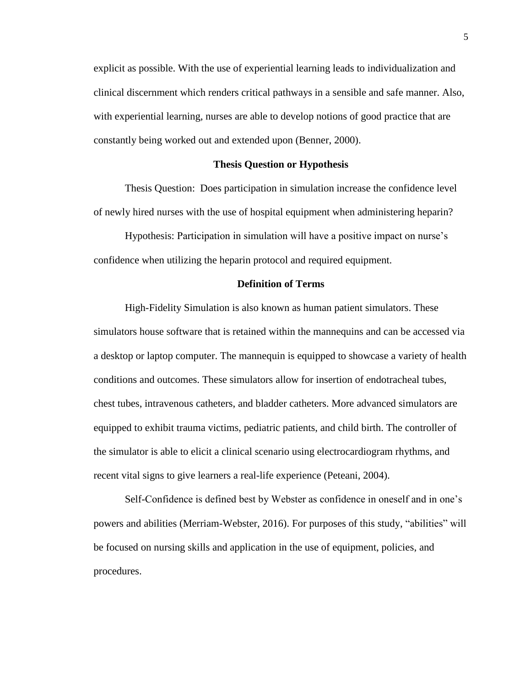explicit as possible. With the use of experiential learning leads to individualization and clinical discernment which renders critical pathways in a sensible and safe manner. Also, with experiential learning, nurses are able to develop notions of good practice that are constantly being worked out and extended upon (Benner, 2000).

#### **Thesis Question or Hypothesis**

Thesis Question: Does participation in simulation increase the confidence level of newly hired nurses with the use of hospital equipment when administering heparin?

Hypothesis: Participation in simulation will have a positive impact on nurse's confidence when utilizing the heparin protocol and required equipment.

#### **Definition of Terms**

High-Fidelity Simulation is also known as human patient simulators. These simulators house software that is retained within the mannequins and can be accessed via a desktop or laptop computer. The mannequin is equipped to showcase a variety of health conditions and outcomes. These simulators allow for insertion of endotracheal tubes, chest tubes, intravenous catheters, and bladder catheters. More advanced simulators are equipped to exhibit trauma victims, pediatric patients, and child birth. The controller of the simulator is able to elicit a clinical scenario using electrocardiogram rhythms, and recent vital signs to give learners a real-life experience (Peteani, 2004).

Self-Confidence is defined best by Webster as confidence in oneself and in one's powers and abilities (Merriam-Webster, 2016). For purposes of this study, "abilities" will be focused on nursing skills and application in the use of equipment, policies, and procedures.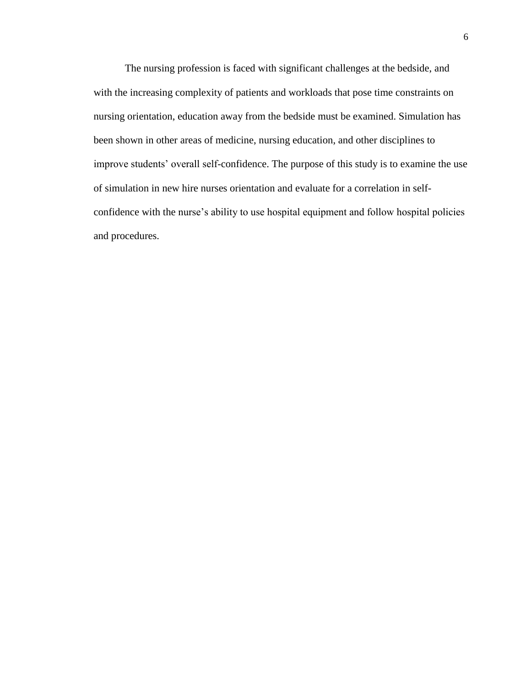The nursing profession is faced with significant challenges at the bedside, and with the increasing complexity of patients and workloads that pose time constraints on nursing orientation, education away from the bedside must be examined. Simulation has been shown in other areas of medicine, nursing education, and other disciplines to improve students' overall self-confidence. The purpose of this study is to examine the use of simulation in new hire nurses orientation and evaluate for a correlation in selfconfidence with the nurse's ability to use hospital equipment and follow hospital policies and procedures.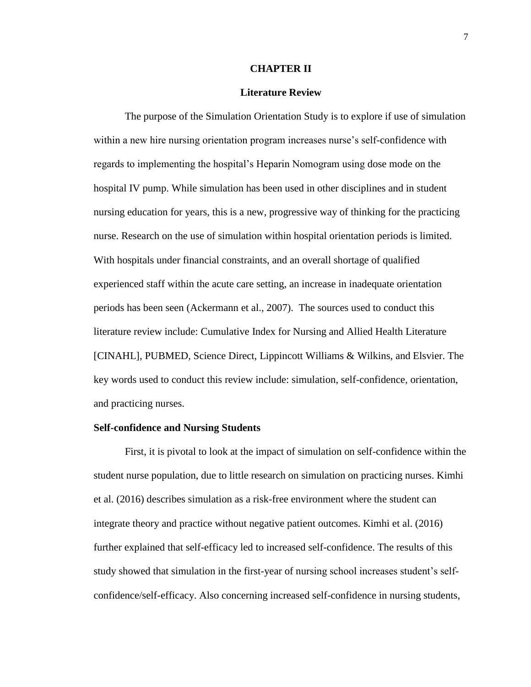#### **CHAPTER II**

#### **Literature Review**

The purpose of the Simulation Orientation Study is to explore if use of simulation within a new hire nursing orientation program increases nurse's self-confidence with regards to implementing the hospital's Heparin Nomogram using dose mode on the hospital IV pump. While simulation has been used in other disciplines and in student nursing education for years, this is a new, progressive way of thinking for the practicing nurse. Research on the use of simulation within hospital orientation periods is limited. With hospitals under financial constraints, and an overall shortage of qualified experienced staff within the acute care setting, an increase in inadequate orientation periods has been seen (Ackermann et al., 2007). The sources used to conduct this literature review include: Cumulative Index for Nursing and Allied Health Literature [CINAHL], PUBMED, Science Direct, Lippincott Williams & Wilkins, and Elsvier. The key words used to conduct this review include: simulation, self-confidence, orientation, and practicing nurses.

#### **Self-confidence and Nursing Students**

First, it is pivotal to look at the impact of simulation on self-confidence within the student nurse population, due to little research on simulation on practicing nurses. Kimhi et al. (2016) describes simulation as a risk-free environment where the student can integrate theory and practice without negative patient outcomes. Kimhi et al. (2016) further explained that self-efficacy led to increased self-confidence. The results of this study showed that simulation in the first-year of nursing school increases student's selfconfidence/self-efficacy. Also concerning increased self-confidence in nursing students,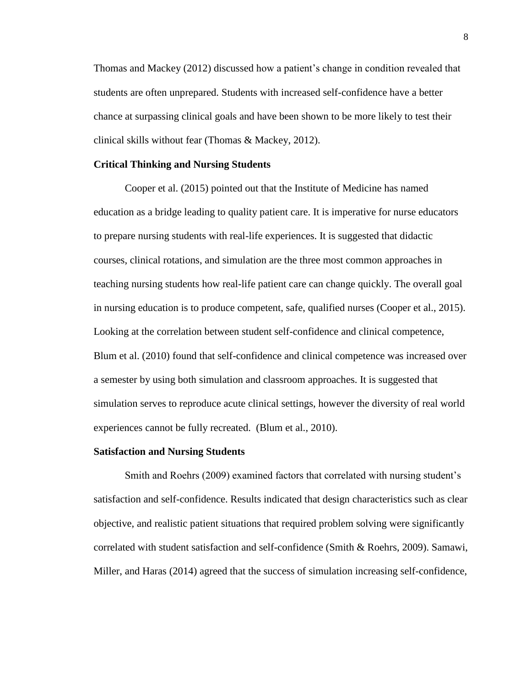Thomas and Mackey (2012) discussed how a patient's change in condition revealed that students are often unprepared. Students with increased self-confidence have a better chance at surpassing clinical goals and have been shown to be more likely to test their clinical skills without fear (Thomas & Mackey, 2012).

#### **Critical Thinking and Nursing Students**

Cooper et al. (2015) pointed out that the Institute of Medicine has named education as a bridge leading to quality patient care. It is imperative for nurse educators to prepare nursing students with real-life experiences. It is suggested that didactic courses, clinical rotations, and simulation are the three most common approaches in teaching nursing students how real-life patient care can change quickly. The overall goal in nursing education is to produce competent, safe, qualified nurses (Cooper et al., 2015). Looking at the correlation between student self-confidence and clinical competence, Blum et al. (2010) found that self-confidence and clinical competence was increased over a semester by using both simulation and classroom approaches. It is suggested that simulation serves to reproduce acute clinical settings, however the diversity of real world experiences cannot be fully recreated. (Blum et al., 2010).

#### **Satisfaction and Nursing Students**

Smith and Roehrs (2009) examined factors that correlated with nursing student's satisfaction and self-confidence. Results indicated that design characteristics such as clear objective, and realistic patient situations that required problem solving were significantly correlated with student satisfaction and self-confidence (Smith & Roehrs, 2009). Samawi, Miller, and Haras (2014) agreed that the success of simulation increasing self-confidence,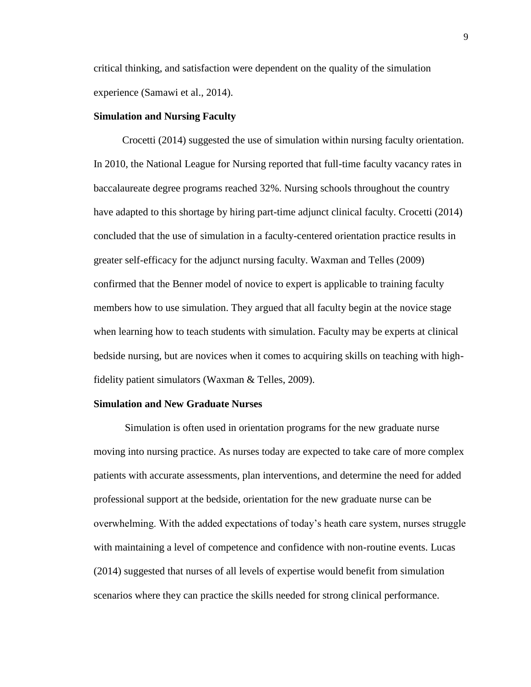critical thinking, and satisfaction were dependent on the quality of the simulation experience (Samawi et al., 2014).

#### **Simulation and Nursing Faculty**

Crocetti (2014) suggested the use of simulation within nursing faculty orientation. In 2010, the National League for Nursing reported that full-time faculty vacancy rates in baccalaureate degree programs reached 32%. Nursing schools throughout the country have adapted to this shortage by hiring part-time adjunct clinical faculty. Crocetti (2014) concluded that the use of simulation in a faculty-centered orientation practice results in greater self-efficacy for the adjunct nursing faculty. Waxman and Telles (2009) confirmed that the Benner model of novice to expert is applicable to training faculty members how to use simulation. They argued that all faculty begin at the novice stage when learning how to teach students with simulation. Faculty may be experts at clinical bedside nursing, but are novices when it comes to acquiring skills on teaching with highfidelity patient simulators (Waxman & Telles, 2009).

#### **Simulation and New Graduate Nurses**

Simulation is often used in orientation programs for the new graduate nurse moving into nursing practice. As nurses today are expected to take care of more complex patients with accurate assessments, plan interventions, and determine the need for added professional support at the bedside, orientation for the new graduate nurse can be overwhelming. With the added expectations of today's heath care system, nurses struggle with maintaining a level of competence and confidence with non-routine events. Lucas (2014) suggested that nurses of all levels of expertise would benefit from simulation scenarios where they can practice the skills needed for strong clinical performance.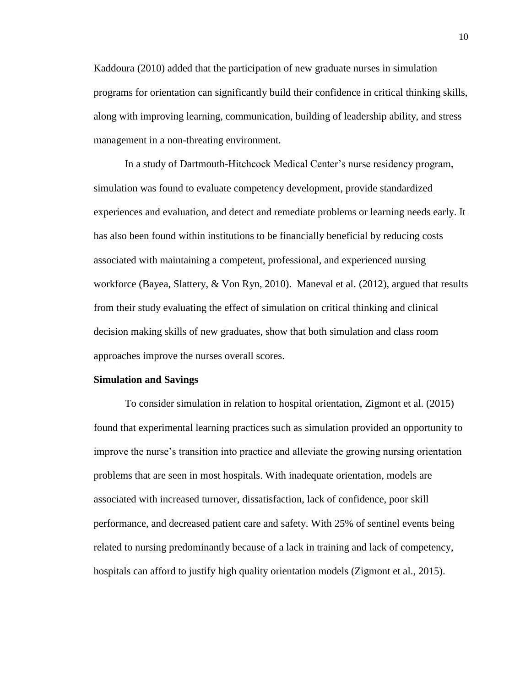Kaddoura (2010) added that the participation of new graduate nurses in simulation programs for orientation can significantly build their confidence in critical thinking skills, along with improving learning, communication, building of leadership ability, and stress management in a non-threating environment.

In a study of Dartmouth-Hitchcock Medical Center's nurse residency program, simulation was found to evaluate competency development, provide standardized experiences and evaluation, and detect and remediate problems or learning needs early. It has also been found within institutions to be financially beneficial by reducing costs associated with maintaining a competent, professional, and experienced nursing workforce (Bayea, Slattery, & Von Ryn, 2010). Maneval et al. (2012), argued that results from their study evaluating the effect of simulation on critical thinking and clinical decision making skills of new graduates, show that both simulation and class room approaches improve the nurses overall scores.

#### **Simulation and Savings**

To consider simulation in relation to hospital orientation, Zigmont et al. (2015) found that experimental learning practices such as simulation provided an opportunity to improve the nurse's transition into practice and alleviate the growing nursing orientation problems that are seen in most hospitals. With inadequate orientation, models are associated with increased turnover, dissatisfaction, lack of confidence, poor skill performance, and decreased patient care and safety. With 25% of sentinel events being related to nursing predominantly because of a lack in training and lack of competency, hospitals can afford to justify high quality orientation models (Zigmont et al., 2015).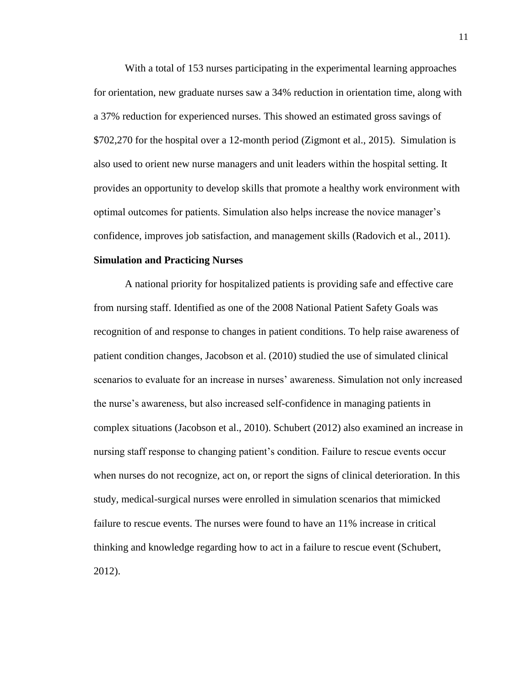With a total of 153 nurses participating in the experimental learning approaches for orientation, new graduate nurses saw a 34% reduction in orientation time, along with a 37% reduction for experienced nurses. This showed an estimated gross savings of \$702,270 for the hospital over a 12-month period (Zigmont et al., 2015). Simulation is also used to orient new nurse managers and unit leaders within the hospital setting. It provides an opportunity to develop skills that promote a healthy work environment with optimal outcomes for patients. Simulation also helps increase the novice manager's confidence, improves job satisfaction, and management skills (Radovich et al., 2011).

#### **Simulation and Practicing Nurses**

A national priority for hospitalized patients is providing safe and effective care from nursing staff. Identified as one of the 2008 National Patient Safety Goals was recognition of and response to changes in patient conditions. To help raise awareness of patient condition changes, Jacobson et al. (2010) studied the use of simulated clinical scenarios to evaluate for an increase in nurses' awareness. Simulation not only increased the nurse's awareness, but also increased self-confidence in managing patients in complex situations (Jacobson et al., 2010). Schubert (2012) also examined an increase in nursing staff response to changing patient's condition. Failure to rescue events occur when nurses do not recognize, act on, or report the signs of clinical deterioration. In this study, medical-surgical nurses were enrolled in simulation scenarios that mimicked failure to rescue events. The nurses were found to have an 11% increase in critical thinking and knowledge regarding how to act in a failure to rescue event (Schubert, 2012).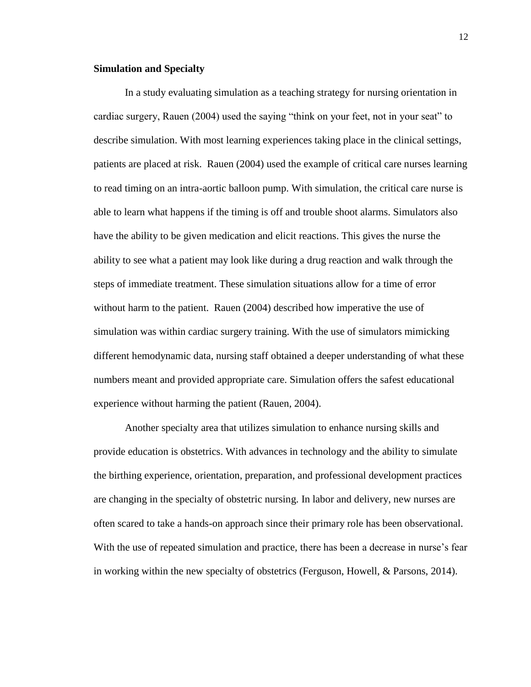#### **Simulation and Specialty**

In a study evaluating simulation as a teaching strategy for nursing orientation in cardiac surgery, Rauen (2004) used the saying "think on your feet, not in your seat" to describe simulation. With most learning experiences taking place in the clinical settings, patients are placed at risk. Rauen (2004) used the example of critical care nurses learning to read timing on an intra-aortic balloon pump. With simulation, the critical care nurse is able to learn what happens if the timing is off and trouble shoot alarms. Simulators also have the ability to be given medication and elicit reactions. This gives the nurse the ability to see what a patient may look like during a drug reaction and walk through the steps of immediate treatment. These simulation situations allow for a time of error without harm to the patient. Rauen (2004) described how imperative the use of simulation was within cardiac surgery training. With the use of simulators mimicking different hemodynamic data, nursing staff obtained a deeper understanding of what these numbers meant and provided appropriate care. Simulation offers the safest educational experience without harming the patient (Rauen, 2004).

Another specialty area that utilizes simulation to enhance nursing skills and provide education is obstetrics. With advances in technology and the ability to simulate the birthing experience, orientation, preparation, and professional development practices are changing in the specialty of obstetric nursing. In labor and delivery, new nurses are often scared to take a hands-on approach since their primary role has been observational. With the use of repeated simulation and practice, there has been a decrease in nurse's fear in working within the new specialty of obstetrics (Ferguson, Howell, & Parsons, 2014).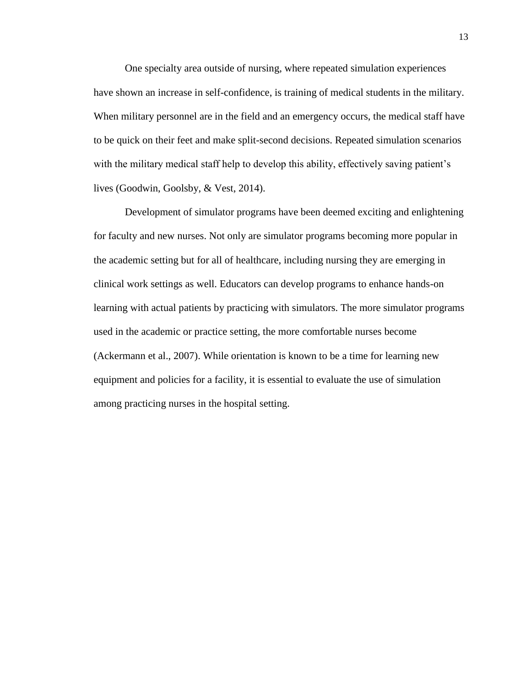One specialty area outside of nursing, where repeated simulation experiences have shown an increase in self-confidence, is training of medical students in the military. When military personnel are in the field and an emergency occurs, the medical staff have to be quick on their feet and make split-second decisions. Repeated simulation scenarios with the military medical staff help to develop this ability, effectively saving patient's lives (Goodwin, Goolsby, & Vest, 2014).

Development of simulator programs have been deemed exciting and enlightening for faculty and new nurses. Not only are simulator programs becoming more popular in the academic setting but for all of healthcare, including nursing they are emerging in clinical work settings as well. Educators can develop programs to enhance hands-on learning with actual patients by practicing with simulators. The more simulator programs used in the academic or practice setting, the more comfortable nurses become (Ackermann et al., 2007). While orientation is known to be a time for learning new equipment and policies for a facility, it is essential to evaluate the use of simulation among practicing nurses in the hospital setting.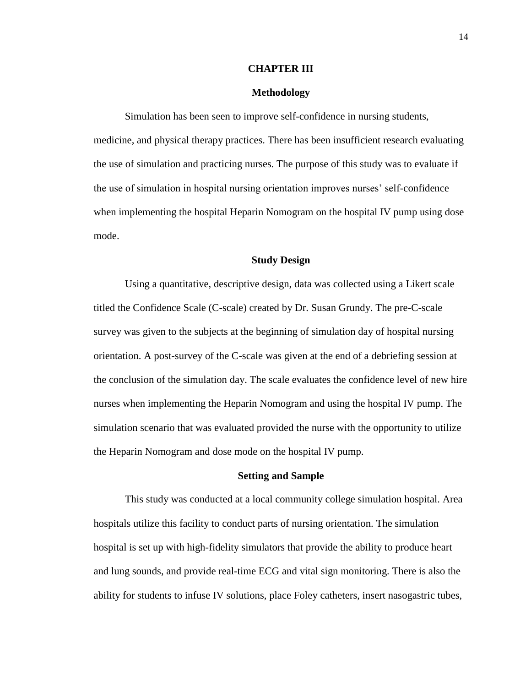#### **CHAPTER III**

#### **Methodology**

Simulation has been seen to improve self-confidence in nursing students, medicine, and physical therapy practices. There has been insufficient research evaluating the use of simulation and practicing nurses. The purpose of this study was to evaluate if the use of simulation in hospital nursing orientation improves nurses' self-confidence when implementing the hospital Heparin Nomogram on the hospital IV pump using dose mode.

#### **Study Design**

Using a quantitative, descriptive design, data was collected using a Likert scale titled the Confidence Scale (C-scale) created by Dr. Susan Grundy. The pre-C-scale survey was given to the subjects at the beginning of simulation day of hospital nursing orientation. A post-survey of the C-scale was given at the end of a debriefing session at the conclusion of the simulation day. The scale evaluates the confidence level of new hire nurses when implementing the Heparin Nomogram and using the hospital IV pump. The simulation scenario that was evaluated provided the nurse with the opportunity to utilize the Heparin Nomogram and dose mode on the hospital IV pump.

#### **Setting and Sample**

This study was conducted at a local community college simulation hospital. Area hospitals utilize this facility to conduct parts of nursing orientation. The simulation hospital is set up with high-fidelity simulators that provide the ability to produce heart and lung sounds, and provide real-time ECG and vital sign monitoring. There is also the ability for students to infuse IV solutions, place Foley catheters, insert nasogastric tubes,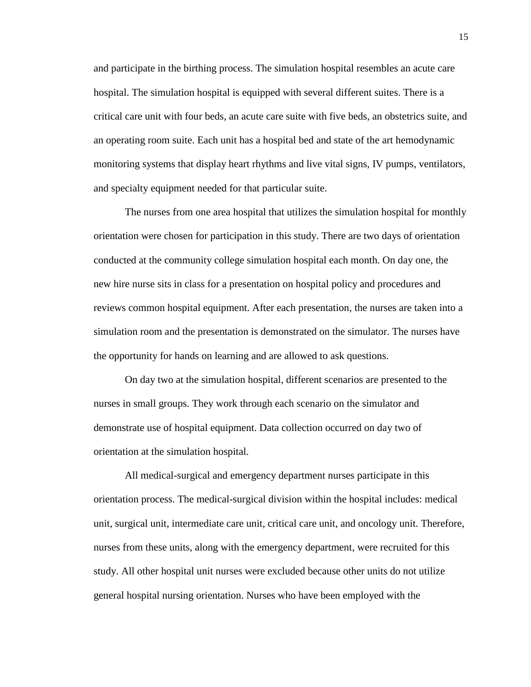and participate in the birthing process. The simulation hospital resembles an acute care hospital. The simulation hospital is equipped with several different suites. There is a critical care unit with four beds, an acute care suite with five beds, an obstetrics suite, and an operating room suite. Each unit has a hospital bed and state of the art hemodynamic monitoring systems that display heart rhythms and live vital signs, IV pumps, ventilators, and specialty equipment needed for that particular suite.

The nurses from one area hospital that utilizes the simulation hospital for monthly orientation were chosen for participation in this study. There are two days of orientation conducted at the community college simulation hospital each month. On day one, the new hire nurse sits in class for a presentation on hospital policy and procedures and reviews common hospital equipment. After each presentation, the nurses are taken into a simulation room and the presentation is demonstrated on the simulator. The nurses have the opportunity for hands on learning and are allowed to ask questions.

On day two at the simulation hospital, different scenarios are presented to the nurses in small groups. They work through each scenario on the simulator and demonstrate use of hospital equipment. Data collection occurred on day two of orientation at the simulation hospital.

All medical-surgical and emergency department nurses participate in this orientation process. The medical-surgical division within the hospital includes: medical unit, surgical unit, intermediate care unit, critical care unit, and oncology unit. Therefore, nurses from these units, along with the emergency department, were recruited for this study. All other hospital unit nurses were excluded because other units do not utilize general hospital nursing orientation. Nurses who have been employed with the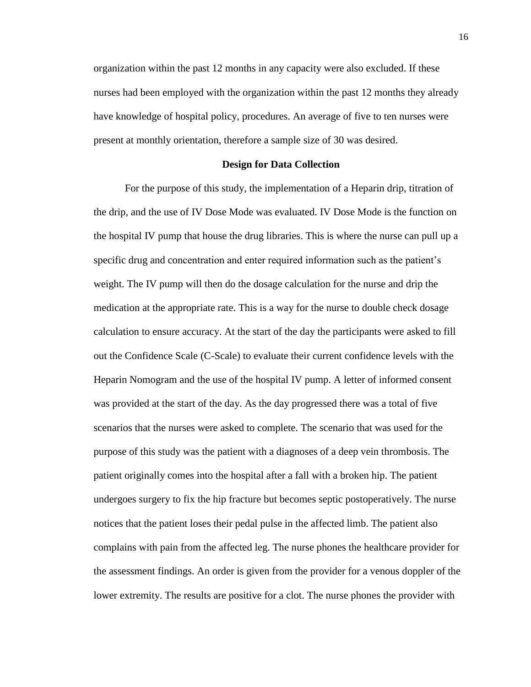organization within the past 12 months in any capacity were also excluded. If these nurses had been employed with the organization within the past 12 months they already have knowledge of hospital policy, procedures. An average of five to ten nurses were present at monthly orientation, therefore a sample size of 30 was desired.

#### **Design for Data Collection**

For the purpose of this study, the implementation of a Heparin drip, titration of the drip, and the use of IV Dose Mode was evaluated. IV Dose Mode is the function on the hospital IV pump that house the drug libraries. This is where the nurse can pull up a specific drug and concentration and enter required information such as the patient's weight. The IV pump will then do the dosage calculation for the nurse and drip the medication at the appropriate rate. This is a way for the nurse to double check dosage calculation to ensure accuracy. At the start of the day the participants were asked to fill out the Confidence Scale (C-Scale) to evaluate their current confidence levels with the Heparin Nomogram and the use of the hospital IV pump. A letter of informed consent was provided at the start of the day. As the day progressed there was a total of five scenarios that the nurses were asked to complete. The scenario that was used for the purpose of this study was the patient with a diagnoses of a deep vein thrombosis. The patient originally comes into the hospital after a fall with a broken hip. The patient undergoes surgery to fix the hip fracture but becomes septic postoperatively. The nurse notices that the patient loses their pedal pulse in the affected limb. The patient also complains with pain from the affected leg. The nurse phones the healthcare provider for the assessment findings. An order is given from the provider for a venous doppler of the lower extremity. The results are positive for a clot. The nurse phones the provider with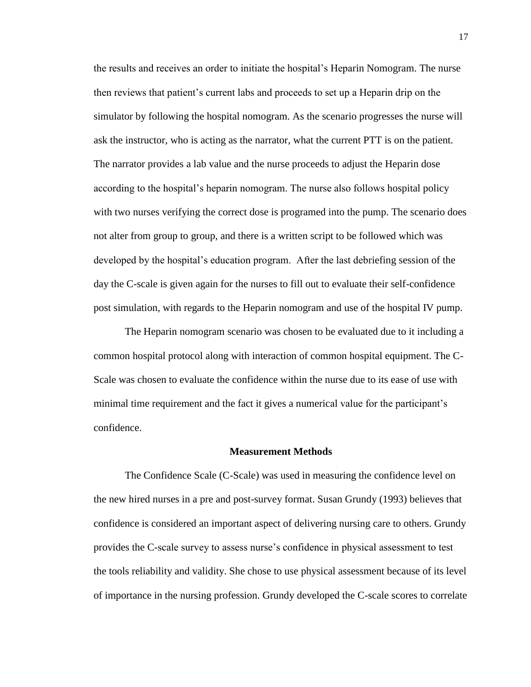the results and receives an order to initiate the hospital's Heparin Nomogram. The nurse then reviews that patient's current labs and proceeds to set up a Heparin drip on the simulator by following the hospital nomogram. As the scenario progresses the nurse will ask the instructor, who is acting as the narrator, what the current PTT is on the patient. The narrator provides a lab value and the nurse proceeds to adjust the Heparin dose according to the hospital's heparin nomogram. The nurse also follows hospital policy with two nurses verifying the correct dose is programed into the pump. The scenario does not alter from group to group, and there is a written script to be followed which was developed by the hospital's education program. After the last debriefing session of the day the C-scale is given again for the nurses to fill out to evaluate their self-confidence post simulation, with regards to the Heparin nomogram and use of the hospital IV pump.

The Heparin nomogram scenario was chosen to be evaluated due to it including a common hospital protocol along with interaction of common hospital equipment. The C-Scale was chosen to evaluate the confidence within the nurse due to its ease of use with minimal time requirement and the fact it gives a numerical value for the participant's confidence.

#### **Measurement Methods**

The Confidence Scale (C-Scale) was used in measuring the confidence level on the new hired nurses in a pre and post-survey format. Susan Grundy (1993) believes that confidence is considered an important aspect of delivering nursing care to others. Grundy provides the C-scale survey to assess nurse's confidence in physical assessment to test the tools reliability and validity. She chose to use physical assessment because of its level of importance in the nursing profession. Grundy developed the C-scale scores to correlate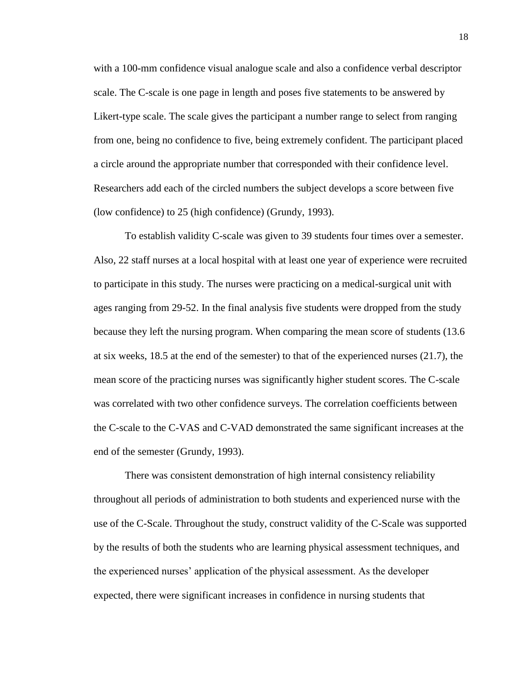with a 100-mm confidence visual analogue scale and also a confidence verbal descriptor scale. The C-scale is one page in length and poses five statements to be answered by Likert-type scale. The scale gives the participant a number range to select from ranging from one, being no confidence to five, being extremely confident. The participant placed a circle around the appropriate number that corresponded with their confidence level. Researchers add each of the circled numbers the subject develops a score between five (low confidence) to 25 (high confidence) (Grundy, 1993).

To establish validity C-scale was given to 39 students four times over a semester. Also, 22 staff nurses at a local hospital with at least one year of experience were recruited to participate in this study. The nurses were practicing on a medical-surgical unit with ages ranging from 29-52. In the final analysis five students were dropped from the study because they left the nursing program. When comparing the mean score of students (13.6 at six weeks, 18.5 at the end of the semester) to that of the experienced nurses (21.7), the mean score of the practicing nurses was significantly higher student scores. The C-scale was correlated with two other confidence surveys. The correlation coefficients between the C-scale to the C-VAS and C-VAD demonstrated the same significant increases at the end of the semester (Grundy, 1993).

There was consistent demonstration of high internal consistency reliability throughout all periods of administration to both students and experienced nurse with the use of the C-Scale. Throughout the study, construct validity of the C-Scale was supported by the results of both the students who are learning physical assessment techniques, and the experienced nurses' application of the physical assessment. As the developer expected, there were significant increases in confidence in nursing students that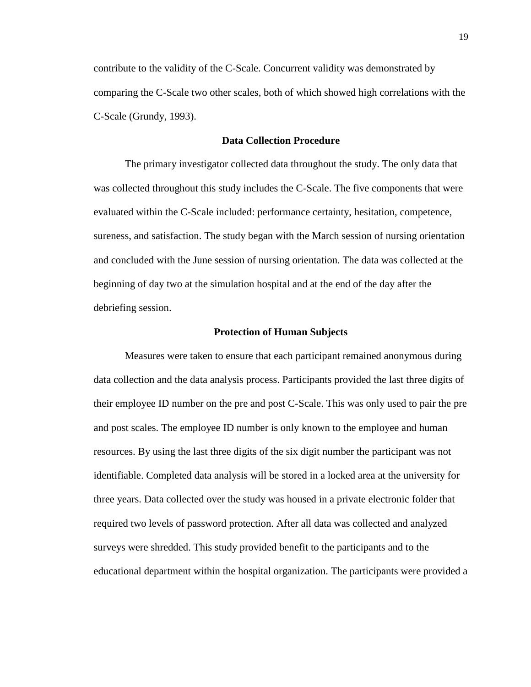contribute to the validity of the C-Scale. Concurrent validity was demonstrated by comparing the C-Scale two other scales, both of which showed high correlations with the C-Scale (Grundy, 1993).

#### **Data Collection Procedure**

The primary investigator collected data throughout the study. The only data that was collected throughout this study includes the C-Scale. The five components that were evaluated within the C-Scale included: performance certainty, hesitation, competence, sureness, and satisfaction. The study began with the March session of nursing orientation and concluded with the June session of nursing orientation. The data was collected at the beginning of day two at the simulation hospital and at the end of the day after the debriefing session.

#### **Protection of Human Subjects**

Measures were taken to ensure that each participant remained anonymous during data collection and the data analysis process. Participants provided the last three digits of their employee ID number on the pre and post C-Scale. This was only used to pair the pre and post scales. The employee ID number is only known to the employee and human resources. By using the last three digits of the six digit number the participant was not identifiable. Completed data analysis will be stored in a locked area at the university for three years. Data collected over the study was housed in a private electronic folder that required two levels of password protection. After all data was collected and analyzed surveys were shredded. This study provided benefit to the participants and to the educational department within the hospital organization. The participants were provided a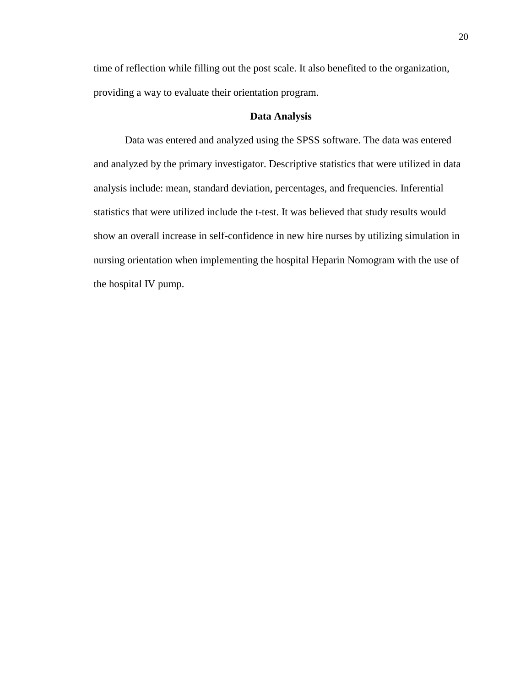time of reflection while filling out the post scale. It also benefited to the organization, providing a way to evaluate their orientation program.

#### **Data Analysis**

Data was entered and analyzed using the SPSS software. The data was entered and analyzed by the primary investigator. Descriptive statistics that were utilized in data analysis include: mean, standard deviation, percentages, and frequencies. Inferential statistics that were utilized include the t-test. It was believed that study results would show an overall increase in self-confidence in new hire nurses by utilizing simulation in nursing orientation when implementing the hospital Heparin Nomogram with the use of the hospital IV pump.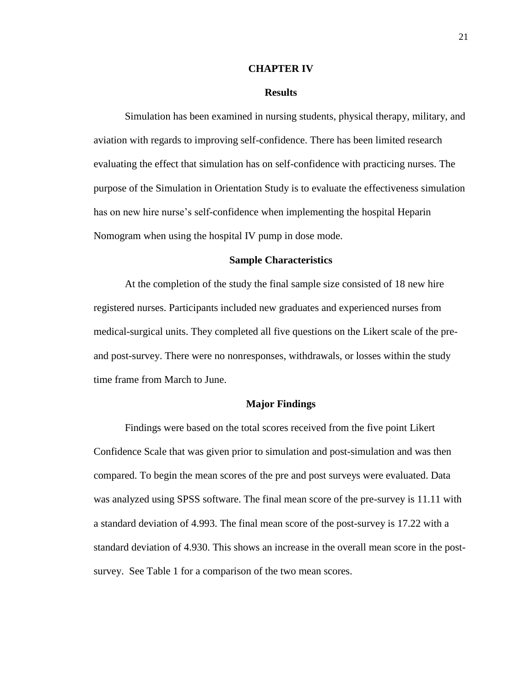#### **CHAPTER IV**

#### **Results**

Simulation has been examined in nursing students, physical therapy, military, and aviation with regards to improving self-confidence. There has been limited research evaluating the effect that simulation has on self-confidence with practicing nurses. The purpose of the Simulation in Orientation Study is to evaluate the effectiveness simulation has on new hire nurse's self-confidence when implementing the hospital Heparin Nomogram when using the hospital IV pump in dose mode.

#### **Sample Characteristics**

At the completion of the study the final sample size consisted of 18 new hire registered nurses. Participants included new graduates and experienced nurses from medical-surgical units. They completed all five questions on the Likert scale of the preand post-survey. There were no nonresponses, withdrawals, or losses within the study time frame from March to June.

#### **Major Findings**

Findings were based on the total scores received from the five point Likert Confidence Scale that was given prior to simulation and post-simulation and was then compared. To begin the mean scores of the pre and post surveys were evaluated. Data was analyzed using SPSS software. The final mean score of the pre-survey is 11.11 with a standard deviation of 4.993. The final mean score of the post-survey is 17.22 with a standard deviation of 4.930. This shows an increase in the overall mean score in the postsurvey. See Table 1 for a comparison of the two mean scores.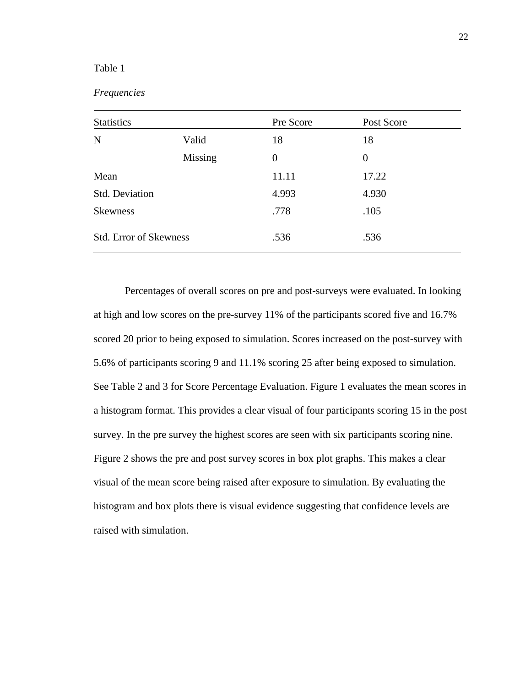#### *Frequencies*

| <b>Statistics</b>             |         | Pre Score      | Post Score |
|-------------------------------|---------|----------------|------------|
| $\mathbf N$                   | Valid   | 18             | 18         |
|                               | Missing | $\overline{0}$ | $\theta$   |
| Mean                          |         | 11.11          | 17.22      |
| Std. Deviation                |         | 4.993          | 4.930      |
| <b>Skewness</b>               |         | .778           | .105       |
| <b>Std. Error of Skewness</b> |         | .536           | .536       |

Percentages of overall scores on pre and post-surveys were evaluated. In looking at high and low scores on the pre-survey 11% of the participants scored five and 16.7% scored 20 prior to being exposed to simulation. Scores increased on the post-survey with 5.6% of participants scoring 9 and 11.1% scoring 25 after being exposed to simulation. See Table 2 and 3 for Score Percentage Evaluation. Figure 1 evaluates the mean scores in a histogram format. This provides a clear visual of four participants scoring 15 in the post survey. In the pre survey the highest scores are seen with six participants scoring nine. Figure 2 shows the pre and post survey scores in box plot graphs. This makes a clear visual of the mean score being raised after exposure to simulation. By evaluating the histogram and box plots there is visual evidence suggesting that confidence levels are raised with simulation.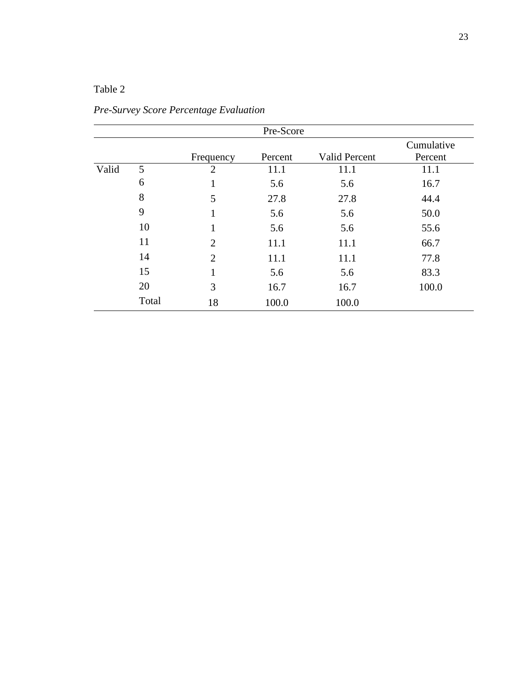|       | Pre-Score |                |         |                      |                       |  |  |  |
|-------|-----------|----------------|---------|----------------------|-----------------------|--|--|--|
|       |           | Frequency      | Percent | <b>Valid Percent</b> | Cumulative<br>Percent |  |  |  |
| Valid | 5         | $\overline{2}$ | 11.1    | 11.1                 | 11.1                  |  |  |  |
|       | 6         | 1              | 5.6     | 5.6                  | 16.7                  |  |  |  |
|       | 8         | 5              | 27.8    | 27.8                 | 44.4                  |  |  |  |
|       | 9         | $\mathbf{1}$   | 5.6     | 5.6                  | 50.0                  |  |  |  |
|       | 10        | $\mathbf{1}$   | 5.6     | 5.6                  | 55.6                  |  |  |  |
|       | 11        | $\overline{2}$ | 11.1    | 11.1                 | 66.7                  |  |  |  |
|       | 14        | $\overline{2}$ | 11.1    | 11.1                 | 77.8                  |  |  |  |
|       | 15        | $\mathbf{1}$   | 5.6     | 5.6                  | 83.3                  |  |  |  |
|       | 20        | 3              | 16.7    | 16.7                 | 100.0                 |  |  |  |
|       | Total     | 18             | 100.0   | 100.0                |                       |  |  |  |

*Pre-Survey Score Percentage Evaluation*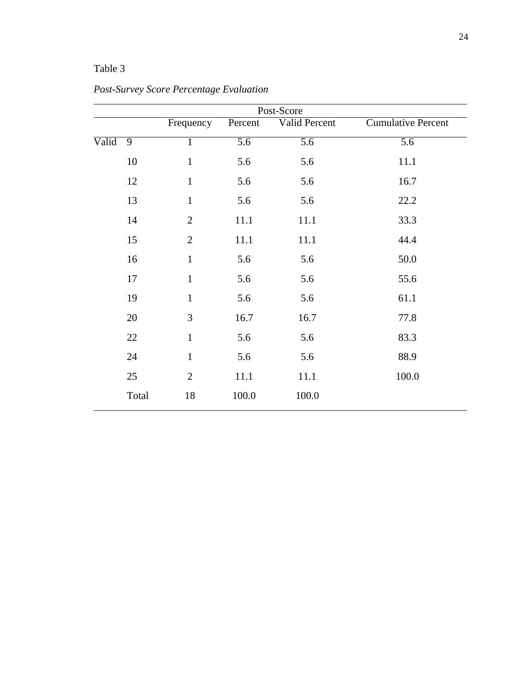| Post-Score |                |                |                  |                  |                           |  |  |  |
|------------|----------------|----------------|------------------|------------------|---------------------------|--|--|--|
|            |                | Frequency      | Percent          | Valid Percent    | <b>Cumulative Percent</b> |  |  |  |
| Valid      | $\overline{9}$ | $\mathbf{1}$   | $\overline{5.6}$ | $\overline{5.6}$ | $\overline{5.6}$          |  |  |  |
|            | 10             | $\mathbf{1}$   | 5.6              | 5.6              | 11.1                      |  |  |  |
|            | 12             | $\mathbf{1}$   | 5.6              | 5.6              | 16.7                      |  |  |  |
|            | 13             | $\mathbf{1}$   | 5.6              | 5.6              | 22.2                      |  |  |  |
|            | 14             | $\overline{2}$ | 11.1             | 11.1             | 33.3                      |  |  |  |
|            | 15             | $\overline{2}$ | 11.1             | 11.1             | 44.4                      |  |  |  |
|            | 16             | $\mathbf{1}$   | 5.6              | 5.6              | 50.0                      |  |  |  |
|            | 17             | $\mathbf{1}$   | 5.6              | 5.6              | 55.6                      |  |  |  |
|            | 19             | $\mathbf{1}$   | 5.6              | 5.6              | 61.1                      |  |  |  |
|            | 20             | 3              | 16.7             | 16.7             | 77.8                      |  |  |  |
|            | $22\,$         | $\mathbf{1}$   | 5.6              | 5.6              | 83.3                      |  |  |  |
|            | 24             | $\mathbf{1}$   | 5.6              | 5.6              | 88.9                      |  |  |  |
|            | 25             | $\overline{2}$ | 11.1             | 11.1             | 100.0                     |  |  |  |
|            | Total          | 18             | 100.0            | 100.0            |                           |  |  |  |

*Post-Survey Score Percentage Evaluation*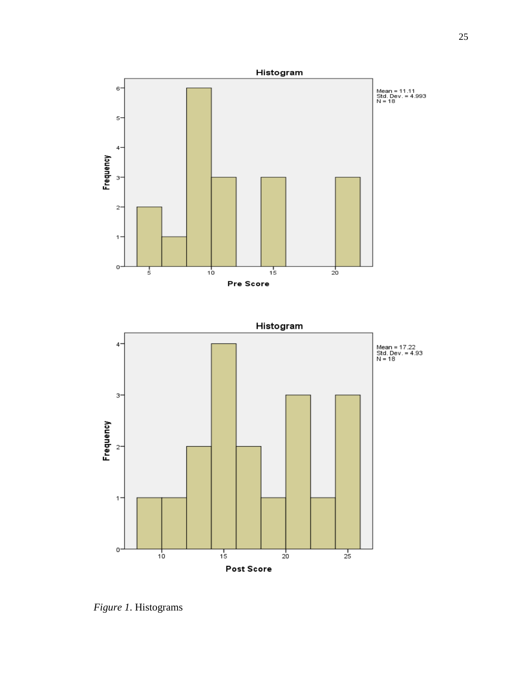



*Figure 1*. Histograms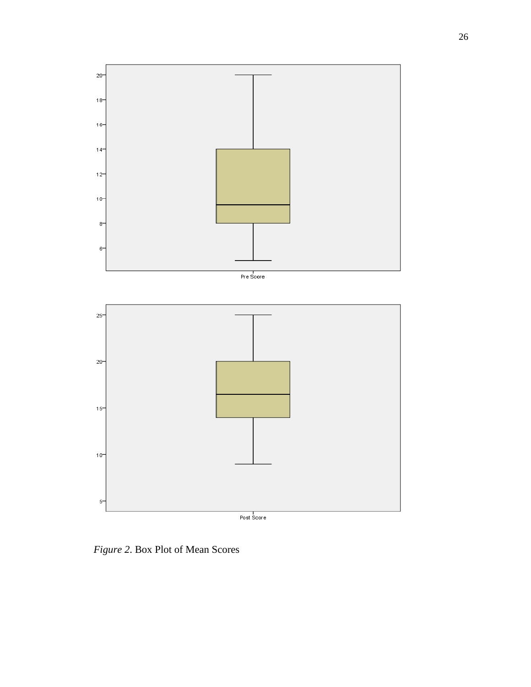

*Figure 2*. Box Plot of Mean Scores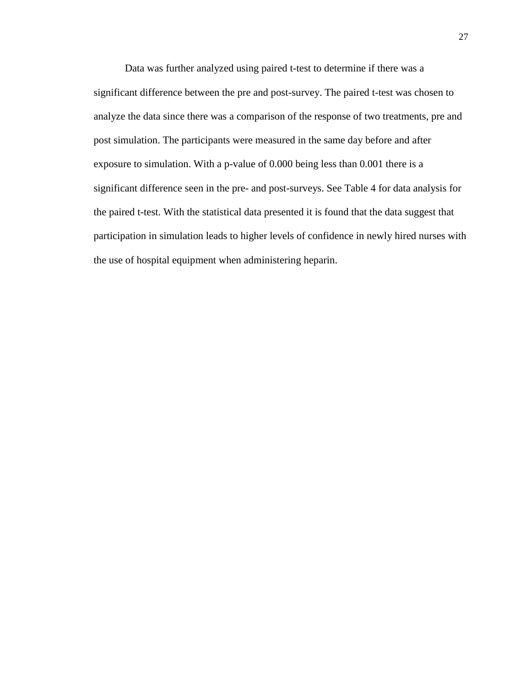Data was further analyzed using paired t-test to determine if there was a significant difference between the pre and post-survey. The paired t-test was chosen to analyze the data since there was a comparison of the response of two treatments, pre and post simulation. The participants were measured in the same day before and after exposure to simulation. With a p-value of 0.000 being less than 0.001 there is a significant difference seen in the pre- and post-surveys. See Table 4 for data analysis for the paired t-test. With the statistical data presented it is found that the data suggest that participation in simulation leads to higher levels of confidence in newly hired nurses with the use of hospital equipment when administering heparin.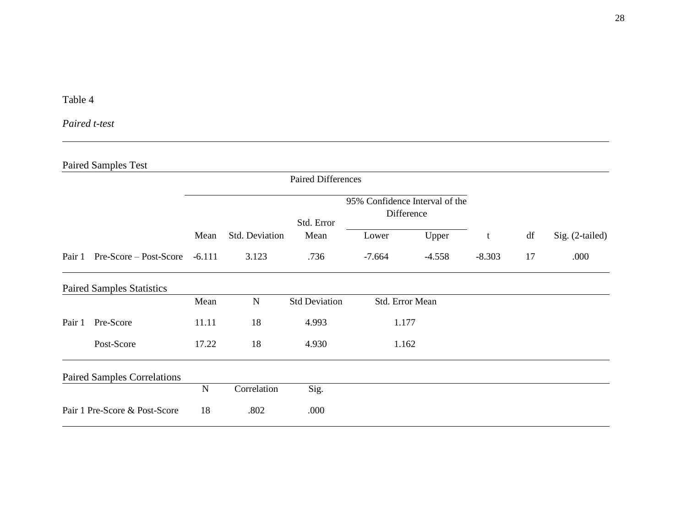# *Paired t-test*

# Paired Samples Test

|        |                                    | <b>Paired Differences</b> |                |                      |                                              |                 |          |    |                 |
|--------|------------------------------------|---------------------------|----------------|----------------------|----------------------------------------------|-----------------|----------|----|-----------------|
|        |                                    |                           |                | Std. Error           | 95% Confidence Interval of the<br>Difference |                 |          |    |                 |
|        |                                    | Mean                      | Std. Deviation | Mean                 | Lower                                        | Upper           | t        | df | Sig. (2-tailed) |
| Pair 1 | Pre-Score – Post-Score             | $-6.111$                  | 3.123          | .736                 | $-7.664$                                     | $-4.558$        | $-8.303$ | 17 | .000            |
|        | <b>Paired Samples Statistics</b>   |                           |                |                      |                                              |                 |          |    |                 |
|        |                                    | Mean                      | $\mathbf N$    | <b>Std Deviation</b> |                                              | Std. Error Mean |          |    |                 |
| Pair 1 | Pre-Score                          | 11.11                     | 18             | 4.993                |                                              | 1.177           |          |    |                 |
|        | Post-Score                         | 17.22                     | 18             | 4.930                |                                              | 1.162           |          |    |                 |
|        | <b>Paired Samples Correlations</b> |                           |                |                      |                                              |                 |          |    |                 |
|        |                                    | N                         | Correlation    | Sig.                 |                                              |                 |          |    |                 |
|        | Pair 1 Pre-Score & Post-Score      | 18                        | .802           | .000                 |                                              |                 |          |    |                 |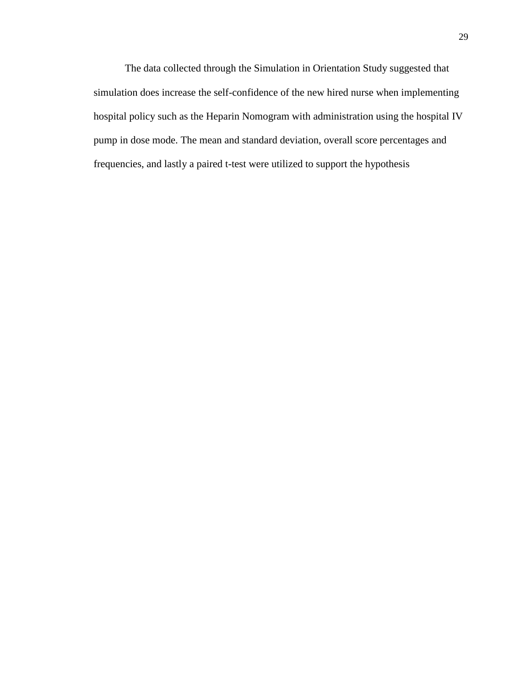The data collected through the Simulation in Orientation Study suggested that simulation does increase the self-confidence of the new hired nurse when implementing hospital policy such as the Heparin Nomogram with administration using the hospital IV pump in dose mode. The mean and standard deviation, overall score percentages and frequencies, and lastly a paired t-test were utilized to support the hypothesis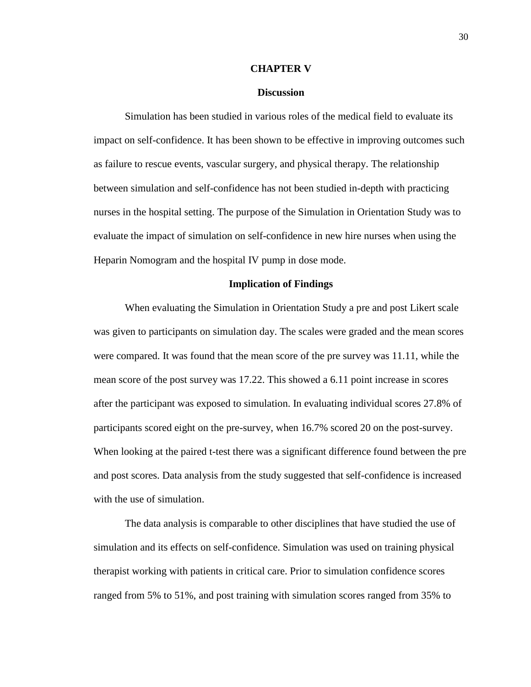#### **CHAPTER V**

#### **Discussion**

Simulation has been studied in various roles of the medical field to evaluate its impact on self-confidence. It has been shown to be effective in improving outcomes such as failure to rescue events, vascular surgery, and physical therapy. The relationship between simulation and self-confidence has not been studied in-depth with practicing nurses in the hospital setting. The purpose of the Simulation in Orientation Study was to evaluate the impact of simulation on self-confidence in new hire nurses when using the Heparin Nomogram and the hospital IV pump in dose mode.

#### **Implication of Findings**

When evaluating the Simulation in Orientation Study a pre and post Likert scale was given to participants on simulation day. The scales were graded and the mean scores were compared. It was found that the mean score of the pre survey was 11.11, while the mean score of the post survey was 17.22. This showed a 6.11 point increase in scores after the participant was exposed to simulation. In evaluating individual scores 27.8% of participants scored eight on the pre-survey, when 16.7% scored 20 on the post-survey. When looking at the paired t-test there was a significant difference found between the pre and post scores. Data analysis from the study suggested that self-confidence is increased with the use of simulation.

The data analysis is comparable to other disciplines that have studied the use of simulation and its effects on self-confidence. Simulation was used on training physical therapist working with patients in critical care. Prior to simulation confidence scores ranged from 5% to 51%, and post training with simulation scores ranged from 35% to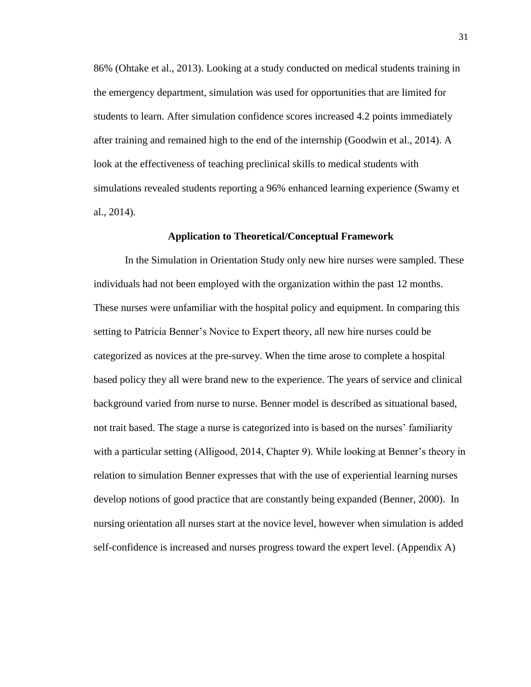86% (Ohtake et al., 2013). Looking at a study conducted on medical students training in the emergency department, simulation was used for opportunities that are limited for students to learn. After simulation confidence scores increased 4.2 points immediately after training and remained high to the end of the internship (Goodwin et al., 2014). A look at the effectiveness of teaching preclinical skills to medical students with simulations revealed students reporting a 96% enhanced learning experience (Swamy et al., 2014).

#### **Application to Theoretical/Conceptual Framework**

In the Simulation in Orientation Study only new hire nurses were sampled. These individuals had not been employed with the organization within the past 12 months. These nurses were unfamiliar with the hospital policy and equipment. In comparing this setting to Patricia Benner's Novice to Expert theory, all new hire nurses could be categorized as novices at the pre-survey. When the time arose to complete a hospital based policy they all were brand new to the experience. The years of service and clinical background varied from nurse to nurse. Benner model is described as situational based, not trait based. The stage a nurse is categorized into is based on the nurses' familiarity with a particular setting (Alligood, 2014, Chapter 9). While looking at Benner's theory in relation to simulation Benner expresses that with the use of experiential learning nurses develop notions of good practice that are constantly being expanded (Benner, 2000). In nursing orientation all nurses start at the novice level, however when simulation is added self-confidence is increased and nurses progress toward the expert level. (Appendix A)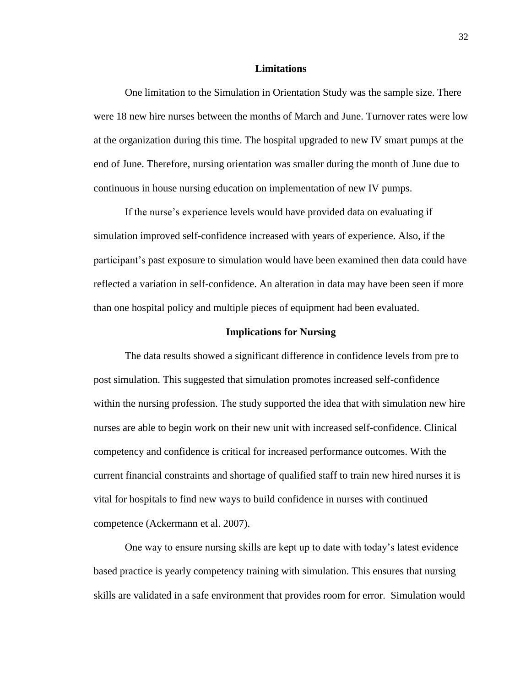#### **Limitations**

One limitation to the Simulation in Orientation Study was the sample size. There were 18 new hire nurses between the months of March and June. Turnover rates were low at the organization during this time. The hospital upgraded to new IV smart pumps at the end of June. Therefore, nursing orientation was smaller during the month of June due to continuous in house nursing education on implementation of new IV pumps.

If the nurse's experience levels would have provided data on evaluating if simulation improved self-confidence increased with years of experience. Also, if the participant's past exposure to simulation would have been examined then data could have reflected a variation in self-confidence. An alteration in data may have been seen if more than one hospital policy and multiple pieces of equipment had been evaluated.

#### **Implications for Nursing**

The data results showed a significant difference in confidence levels from pre to post simulation. This suggested that simulation promotes increased self-confidence within the nursing profession. The study supported the idea that with simulation new hire nurses are able to begin work on their new unit with increased self-confidence. Clinical competency and confidence is critical for increased performance outcomes. With the current financial constraints and shortage of qualified staff to train new hired nurses it is vital for hospitals to find new ways to build confidence in nurses with continued competence (Ackermann et al. 2007).

One way to ensure nursing skills are kept up to date with today's latest evidence based practice is yearly competency training with simulation. This ensures that nursing skills are validated in a safe environment that provides room for error. Simulation would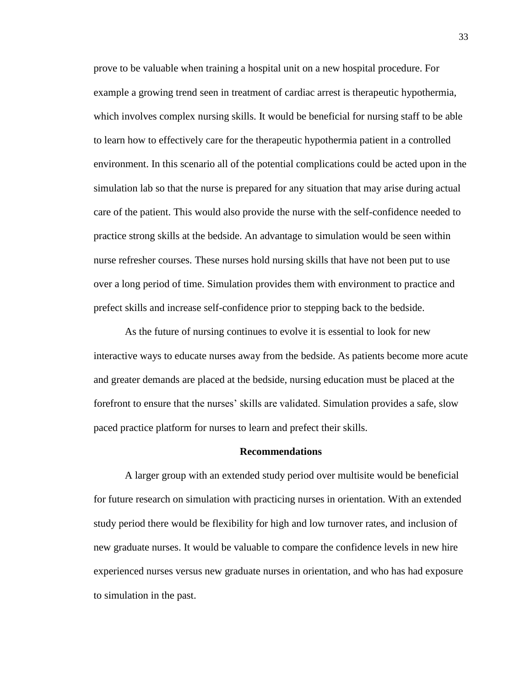prove to be valuable when training a hospital unit on a new hospital procedure. For example a growing trend seen in treatment of cardiac arrest is therapeutic hypothermia, which involves complex nursing skills. It would be beneficial for nursing staff to be able to learn how to effectively care for the therapeutic hypothermia patient in a controlled environment. In this scenario all of the potential complications could be acted upon in the simulation lab so that the nurse is prepared for any situation that may arise during actual care of the patient. This would also provide the nurse with the self-confidence needed to practice strong skills at the bedside. An advantage to simulation would be seen within nurse refresher courses. These nurses hold nursing skills that have not been put to use over a long period of time. Simulation provides them with environment to practice and prefect skills and increase self-confidence prior to stepping back to the bedside.

As the future of nursing continues to evolve it is essential to look for new interactive ways to educate nurses away from the bedside. As patients become more acute and greater demands are placed at the bedside, nursing education must be placed at the forefront to ensure that the nurses' skills are validated. Simulation provides a safe, slow paced practice platform for nurses to learn and prefect their skills.

#### **Recommendations**

A larger group with an extended study period over multisite would be beneficial for future research on simulation with practicing nurses in orientation. With an extended study period there would be flexibility for high and low turnover rates, and inclusion of new graduate nurses. It would be valuable to compare the confidence levels in new hire experienced nurses versus new graduate nurses in orientation, and who has had exposure to simulation in the past.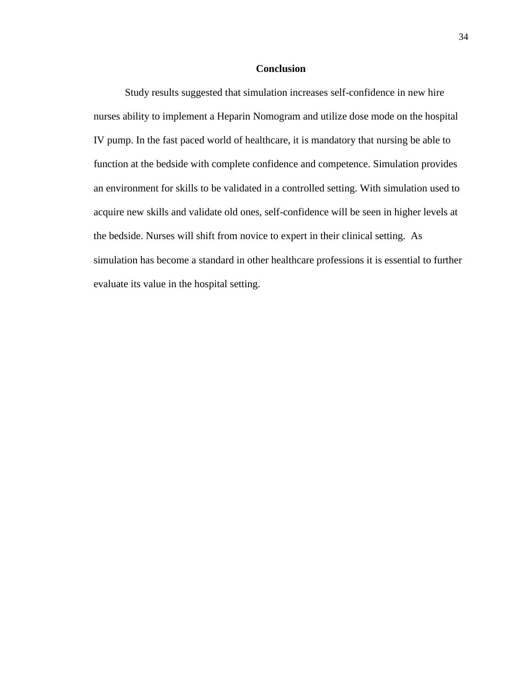#### **Conclusion**

Study results suggested that simulation increases self-confidence in new hire nurses ability to implement a Heparin Nomogram and utilize dose mode on the hospital IV pump. In the fast paced world of healthcare, it is mandatory that nursing be able to function at the bedside with complete confidence and competence. Simulation provides an environment for skills to be validated in a controlled setting. With simulation used to acquire new skills and validate old ones, self-confidence will be seen in higher levels at the bedside. Nurses will shift from novice to expert in their clinical setting. As simulation has become a standard in other healthcare professions it is essential to further evaluate its value in the hospital setting.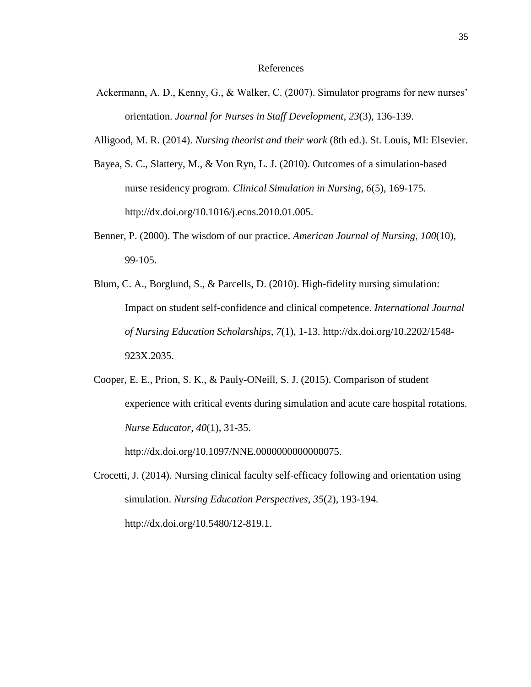#### References

- Ackermann, A. D., Kenny, G., & Walker, C. (2007). Simulator programs for new nurses' orientation. *Journal for Nurses in Staff Development*, *23*(3), 136-139.
- Alligood, M. R. (2014). *Nursing theorist and their work* (8th ed.). St. Louis, MI: Elsevier.
- Bayea, S. C., Slattery, M., & Von Ryn, L. J. (2010). Outcomes of a simulation-based nurse residency program. *Clinical Simulation in Nursing*, *6*(5), 169-175. http://dx.doi.org/10.1016/j.ecns.2010.01.005.
- Benner, P. (2000). The wisdom of our practice. *American Journal of Nursing*, *100*(10), 99-105.
- Blum, C. A., Borglund, S., & Parcells, D. (2010). High-fidelity nursing simulation: Impact on student self-confidence and clinical competence. *International Journal of Nursing Education Scholarships*, *7*(1), 1-13. http://dx.doi.org/10.2202/1548- 923X.2035.
- Cooper, E. E., Prion, S. K., & Pauly-ONeill, S. J. (2015). Comparison of student experience with critical events during simulation and acute care hospital rotations. *Nurse Educator*, *40*(1), 31-35.

http://dx.doi.org/10.1097/NNE.0000000000000075.

Crocetti, J. (2014). Nursing clinical faculty self-efficacy following and orientation using simulation. *Nursing Education Perspectives*, *35*(2), 193-194. http://dx.doi.org/10.5480/12-819.1.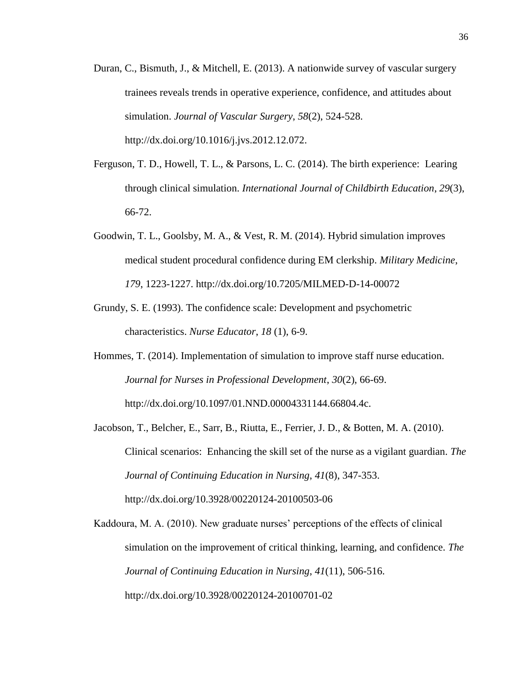- Duran, C., Bismuth, J., & Mitchell, E. (2013). A nationwide survey of vascular surgery trainees reveals trends in operative experience, confidence, and attitudes about simulation. *Journal of Vascular Surgery*, *58*(2), 524-528. http://dx.doi.org/10.1016/j.jvs.2012.12.072.
- Ferguson, T. D., Howell, T. L., & Parsons, L. C. (2014). The birth experience: Learing through clinical simulation. *International Journal of Childbirth Education*, *29*(3), 66-72.
- Goodwin, T. L., Goolsby, M. A., & Vest, R. M. (2014). Hybrid simulation improves medical student procedural confidence during EM clerkship. *Military Medicine*, *179*, 1223-1227. http://dx.doi.org/10.7205/MILMED-D-14-00072
- Grundy, S. E. (1993). The confidence scale: Development and psychometric characteristics. *Nurse Educator*, *18* (1), 6-9.
- Hommes, T. (2014). Implementation of simulation to improve staff nurse education. *Journal for Nurses in Professional Development*, *30*(2), 66-69. http://dx.doi.org/10.1097/01.NND.00004331144.66804.4c.
- Jacobson, T., Belcher, E., Sarr, B., Riutta, E., Ferrier, J. D., & Botten, M. A. (2010). Clinical scenarios: Enhancing the skill set of the nurse as a vigilant guardian. *The Journal of Continuing Education in Nursing*, *41*(8), 347-353. http://dx.doi.org/10.3928/00220124-20100503-06

Kaddoura, M. A. (2010). New graduate nurses' perceptions of the effects of clinical simulation on the improvement of critical thinking, learning, and confidence. *The Journal of Continuing Education in Nursing*, *41*(11), 506-516. http://dx.doi.org/10.3928/00220124-20100701-02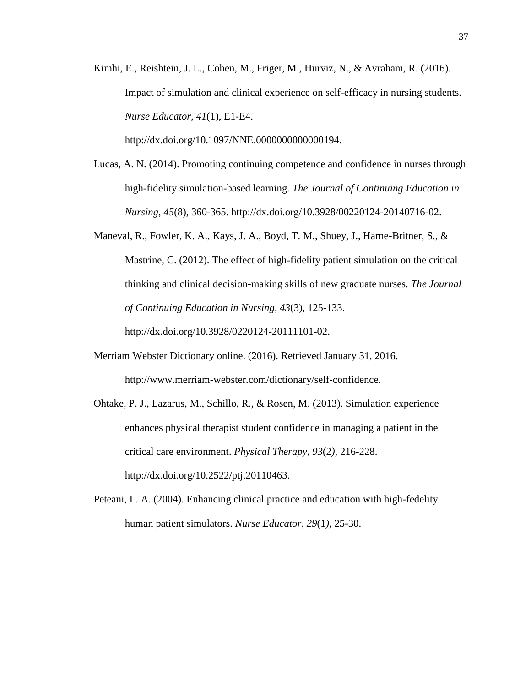Kimhi, E., Reishtein, J. L., Cohen, M., Friger, M., Hurviz, N., & Avraham, R. (2016). Impact of simulation and clinical experience on self-efficacy in nursing students. *Nurse Educator*, *41*(1), E1-E4.

http://dx.doi.org/10.1097/NNE.0000000000000194.

- Lucas, A. N. (2014). Promoting continuing competence and confidence in nurses through high-fidelity simulation-based learning. *The Journal of Continuing Education in Nursing*, *45*(8), 360-365. http://dx.doi.org/10.3928/00220124-20140716-02.
- Maneval, R., Fowler, K. A., Kays, J. A., Boyd, T. M., Shuey, J., Harne-Britner, S., & Mastrine, C. (2012). The effect of high-fidelity patient simulation on the critical thinking and clinical decision-making skills of new graduate nurses. *The Journal of Continuing Education in Nursing*, *43*(3), 125-133.

[http://dx.doi.org/10.3928/0220124-20111101-02.](http://dx.doi.org/10.3928/0220124-20111101-02)

- Merriam Webster Dictionary online. (2016). Retrieved January 31, 2016. http://www.merriam-webster.com/dictionary/self-confidence.
- Ohtake, P. J., Lazarus, M., Schillo, R., & Rosen, M. (2013). Simulation experience enhances physical therapist student confidence in managing a patient in the critical care environment. *Physical Therapy*, *93*(2*)*, 216-228. http://dx.doi.org/10.2522/ptj.20110463.
- Peteani, L. A. (2004). Enhancing clinical practice and education with high-fedelity human patient simulators. *Nurse Educator*, *29*(1*)*, 25-30.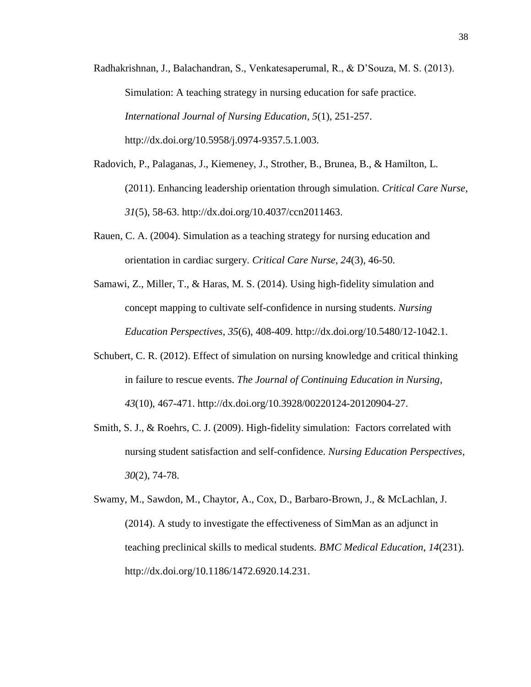- Radhakrishnan, J., Balachandran, S., Venkatesaperumal, R., & D'Souza, M. S. (2013). Simulation: A teaching strategy in nursing education for safe practice. *International Journal of Nursing Education*, *5*(1), 251-257. http://dx.doi.org/10.5958/j.0974-9357.5.1.003.
- Radovich, P., Palaganas, J., Kiemeney, J., Strother, B., Brunea, B., & Hamilton, L. (2011). Enhancing leadership orientation through simulation. *Critical Care Nurse*, *31*(5), 58-63. http://dx.doi.org/10.4037/ccn2011463.
- Rauen, C. A. (2004). Simulation as a teaching strategy for nursing education and orientation in cardiac surgery. *Critical Care Nurse*, *24*(3), 46-50.
- Samawi, Z., Miller, T., & Haras, M. S. (2014). Using high-fidelity simulation and concept mapping to cultivate self-confidence in nursing students. *Nursing Education Perspectives*, *35*(6), 408-409. http://dx.doi.org/10.5480/12-1042.1.
- Schubert, C. R. (2012). Effect of simulation on nursing knowledge and critical thinking in failure to rescue events. *The Journal of Continuing Education in Nursing*, *43*(10), 467-471. http://dx.doi.org/10.3928/00220124-20120904-27.
- Smith, S. J., & Roehrs, C. J. (2009). High-fidelity simulation: Factors correlated with nursing student satisfaction and self-confidence. *Nursing Education Perspectives*, *30*(2), 74-78.
- Swamy, M., Sawdon, M., Chaytor, A., Cox, D., Barbaro-Brown, J., & McLachlan, J. (2014). A study to investigate the effectiveness of SimMan as an adjunct in teaching preclinical skills to medical students. *BMC Medical Education*, *14*(231). http://dx.doi.org/10.1186/1472.6920.14.231.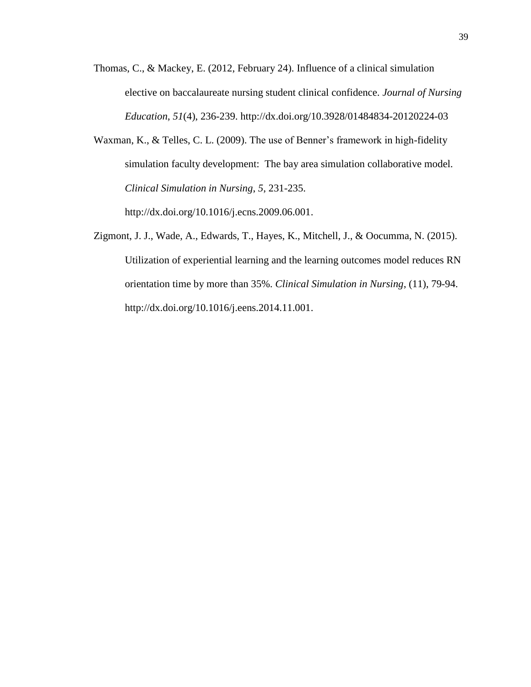- Thomas, C., & Mackey, E. (2012, February 24). Influence of a clinical simulation elective on baccalaureate nursing student clinical confidence. *Journal of Nursing Education*, *51*(4), 236-239. http://dx.doi.org/10.3928/01484834-20120224-03
- Waxman, K., & Telles, C. L. (2009). The use of Benner's framework in high-fidelity simulation faculty development: The bay area simulation collaborative model. *Clinical Simulation in Nursing*, *5*, 231-235.

http://dx.doi.org/10.1016/j.ecns.2009.06.001.

Zigmont, J. J., Wade, A., Edwards, T., Hayes, K., Mitchell, J., & Oocumma, N. (2015). Utilization of experiential learning and the learning outcomes model reduces RN orientation time by more than 35%. *Clinical Simulation in Nursing*, (11), 79-94. http://dx.doi.org/10.1016/j.eens.2014.11.001.